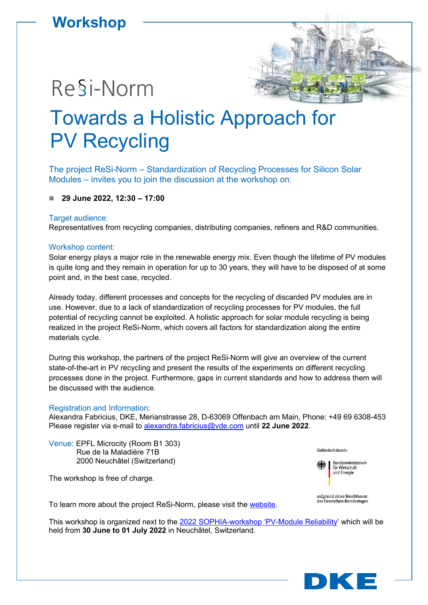### **Workshop**

## Re§i-Norm

# Towards a Holistic Approach for PV Recycling

The project ReSi-Norm – Standardization of Recycling Processes for Silicon Solar Modules – invites you to join the discussion at the workshop on:

**29 June 2022, 12:30 – 17:00**

#### Target audience:

Representatives from recycling companies, distributing companies, refiners and R&D communities.

#### Workshop content:

Solar energy plays a major role in the renewable energy mix. Even though the lifetime of PV modules is quite long and they remain in operation for up to 30 years, they will have to be disposed of at some point and, in the best case, recycled.

Already today, different processes and concepts for the recycling of discarded PV modules are in use. However, due to a lack of standardization of recycling processes for PV modules, the full potential of recycling cannot be exploited. A holistic approach for solar module recycling is being realized in the project ReSi-Norm, which covers all factors for standardization along the entire materials cycle.

During this workshop, the partners of the project ReSi-Norm will give an overview of the current state-of-the-art in PV recycling and present the results of the experiments on different recycling processes done in the project. Furthermore, gaps in current standards and how to address them will be discussed with the audience.

#### Registration and Information:

Alexandra Fabricius, DKE, Merianstrasse 28, D-63069 Offenbach am Main, Phone: +49 69 6308-453 Please register via e-mail to [alexandra.fabricius@vde.com](mailto:alexandra.fabricius@vde.com?subject=ReSi-Norm%20Workshop) until **22 June 2022**.

Venue: EPFL Microcity (Room B1 303) Rue de la Maladière 71B 2000 Neuchâtel (Switzerland)

The workshop is free of charge.

To learn more about the project ReSi-Norm, please visit the [website.](https://www.dke.de/en/areas-of-work/energy/project-resi-norm)

This workshop is organized next to the [2022 SOPHIA-workshop 'PV-Module Reliability'](https://www.pv-reliability.com/workshop-2022?msclkid=02573b6fb1d511ec8926101c15506faa) which will be held from **30 June to 01 July 2022** in Neuchâtel, Switzerland.



Gefördert durch:



aufgrund eines Beschlusses des Deutschen Bundestages